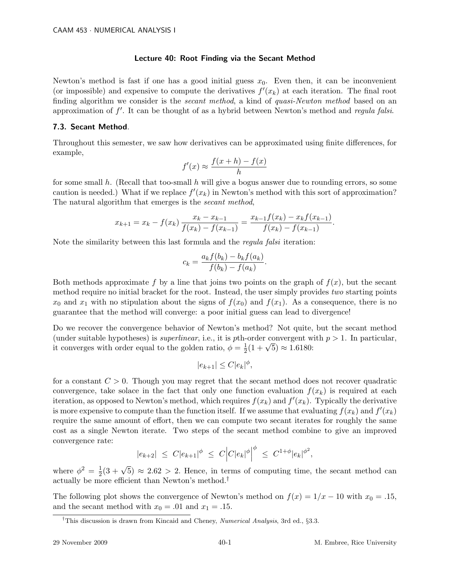## Lecture 40: Root Finding via the Secant Method

Newton's method is fast if one has a good initial guess  $x_0$ . Even then, it can be inconvenient (or impossible) and expensive to compute the derivatives  $f'(x_k)$  at each iteration. The final root finding algorithm we consider is the *secant method*, a kind of *quasi-Newton method* based on an approximation of  $f'$ . It can be thought of as a hybrid between Newton's method and *regula falsi*.

## 7.3. Secant Method.

Throughout this semester, we saw how derivatives can be approximated using finite differences, for example,

$$
f'(x) \approx \frac{f(x+h) - f(x)}{h}
$$

for some small h. (Recall that too-small h will give a bogus answer due to rounding errors, so some caution is needed.) What if we replace  $f'(x_k)$  in Newton's method with this sort of approximation? The natural algorithm that emerges is the secant method,

$$
x_{k+1} = x_k - f(x_k) \frac{x_k - x_{k-1}}{f(x_k) - f(x_{k-1})} = \frac{x_{k-1}f(x_k) - x_kf(x_{k-1})}{f(x_k) - f(x_{k-1})}.
$$

Note the similarity between this last formula and the regula falsi iteration:

$$
c_k = \frac{a_k f(b_k) - b_k f(a_k)}{f(b_k) - f(a_k)}.
$$

Both methods approximate f by a line that joins two points on the graph of  $f(x)$ , but the secant method require no initial bracket for the root. Instead, the user simply provides two starting points  $x_0$  and  $x_1$  with no stipulation about the signs of  $f(x_0)$  and  $f(x_1)$ . As a consequence, there is no guarantee that the method will converge: a poor initial guess can lead to divergence!

Do we recover the convergence behavior of Newton's method? Not quite, but the secant method (under suitable hypotheses) is *superlinear*, i.e., it is pth-order convergent with  $p > 1$ . In particular, it converges with order equal to the golden ratio,  $\phi = \frac{1}{2}$ Forder convergent w<br>  $\frac{1}{2}(1+\sqrt{5}) \approx 1.6180$ :

$$
|e_{k+1}| \leq C |e_k|^{\phi},
$$

for a constant  $C > 0$ . Though you may regret that the secant method does not recover quadratic convergence, take solace in the fact that only one function evaluation  $f(x_k)$  is required at each iteration, as opposed to Newton's method, which requires  $f(x_k)$  and  $f'(x_k)$ . Typically the derivative is more expensive to compute than the function itself. If we assume that evaluating  $f(x_k)$  and  $f'(x_k)$ require the same amount of effort, then we can compute two secant iterates for roughly the same cost as a single Newton iterate. Two steps of the secant method combine to give an improved convergence rate:

$$
|e_{k+2}| \leq C|e_{k+1}|^{\phi} \leq C|C|e_k|^{\phi}|^{\phi} \leq C^{1+\phi}|e_k|^{\phi^2},
$$

where  $\phi^2 = \frac{1}{2}$  $\frac{1}{2}(3+\sqrt{5}) \approx 2.62 > 2$ . Hence, in terms of computing time, the secant method can actually be more efficient than Newton's method.†

The following plot shows the convergence of Newton's method on  $f(x) = 1/x - 10$  with  $x_0 = .15$ , and the secant method with  $x_0 = .01$  and  $x_1 = .15$ .

<sup>&</sup>lt;sup>†</sup>This discussion is drawn from Kincaid and Cheney, *Numerical Analysis*, 3rd ed., §3.3.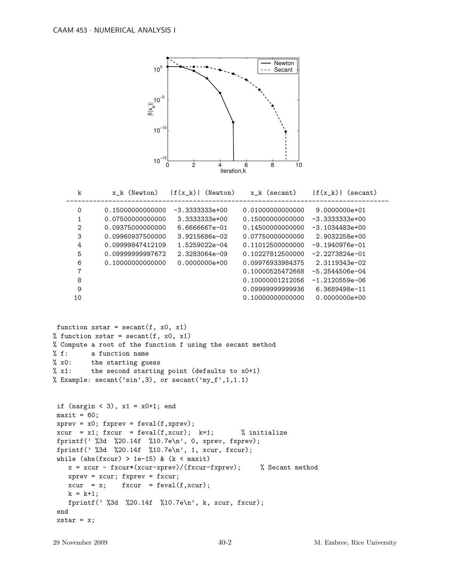

| k             | x k (Newton)     | f(x k) <br>(Newton) | x k (secant)     | $ f(x_k) $<br>(secant) |
|---------------|------------------|---------------------|------------------|------------------------|
| 0             | 0.15000000000000 | $-3.3333333e+00$    | 0.01000000000000 | 9.0000000e+01          |
| 1             | 0.07500000000000 | $3.33333338+00$     | 0.15000000000000 | $-3.3333333e+00$       |
| $\mathcal{D}$ | 0.09375000000000 | $6.6666667e - 01$   | 0.14500000000000 | $-3.1034483e+00$       |
| 3             | 0.09960937500000 | $3.9215686e - 02$   | 0.07750000000000 | 2.9032258e+00          |
| 4             | 0.09999847412109 | $1.5259022e-04$     | 0.11012500000000 | $-9.1940976e - 01$     |
| 5             | 0.0999999997672  | 2.3283064e-09       | 0.10227812500000 | $-2.2273824e-01$       |
| 6             | 0.10000000000000 | $0.0000000e + 00$   | 0.09976933984375 | 2.3119343e-02          |
| 7             |                  |                     | 0.10000525472668 | $-5.2544506e-04$       |
| 8             |                  |                     | 0.10000001212056 | $-1.2120559e-06$       |
| 9             |                  |                     | 0.0999999999936  | 6.3689498e-11          |
| 10            |                  |                     | 0.10000000000000 | $0.0000000e+00$        |

```
function xstar = secant(f, x0, x1)% function xstar = secant(f, x0, x1)
% Compute a root of the function f using the secant method
% f: a function name
% x0: the starting guess
% x1: the second starting point (defaults to x0+1)
% Example: secant('sin', 3), or secant('my_f', 1, 1.1)if (nargin < 3), x1 = x0+1; end
maxit = 60;
```

```
xprev = x0; fxprev = feval(f, xprev);
xcur = x1; fxcur = feval(f,xcur); k=1; % initialize
fprintf(' %3d %20.14f %10.7e\n', 0, xprev, fxprev);
fprintf(' %3d %20.14f %10.7e\n', 1, xcur, fxcur);
while (abs(fxcur) > 1e-15) & (k < maxit)x = xcur - fxcur*(xcur-xprev)/(fxcur-fxprev); % Secant method
  xprev = xcur; fxyrev = fxcur;xcur = x; fxcur = feval(f,xcur);
  k = k+1;fprintf(' %3d %20.14f %10.7e\n', k, xcur, fxcur);
end
xstar = x;
```